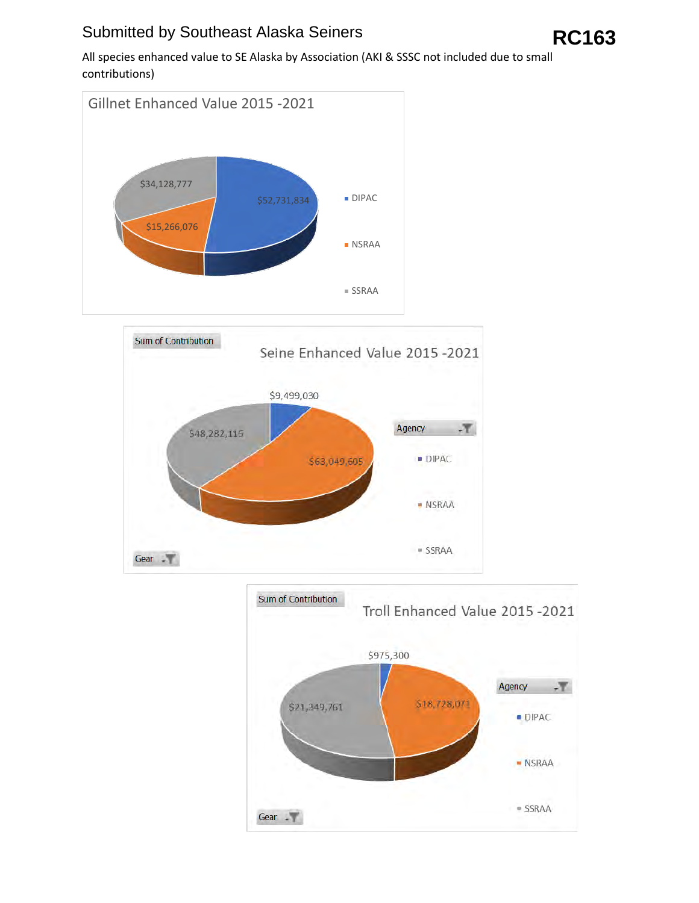## Submitted by Southeast Alaska Seiners **RC163**

All species enhanced value to SE Alaska by Association (AKI & SSSC not included due to small contributions)